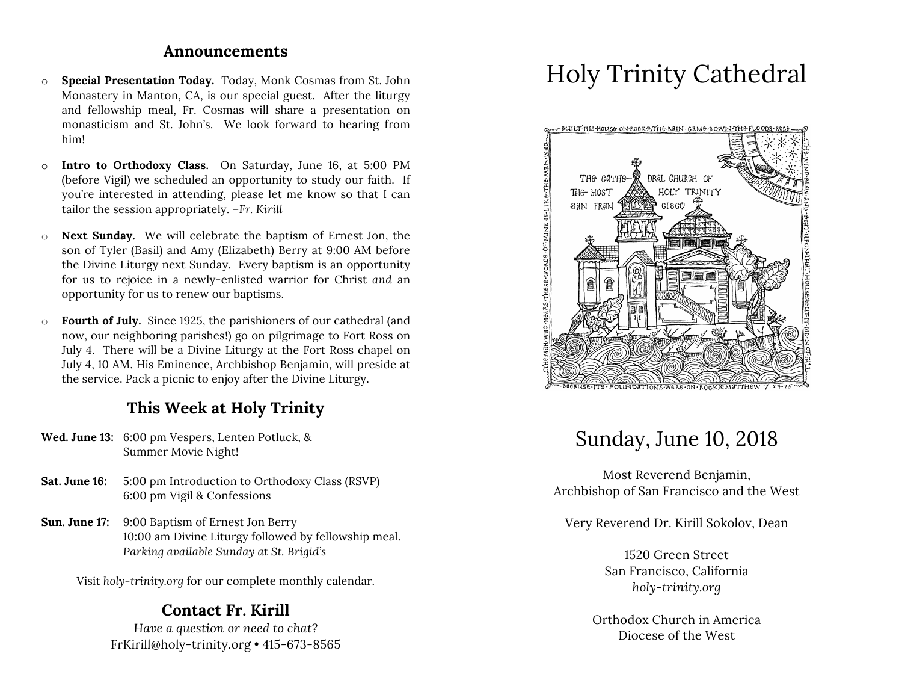#### **Announcements**

- o **Special Presentation Today.** Today, Monk Cosmas from St. John Monastery in Manton, CA, is our special guest. After the liturgy and fellowship meal, Fr. Cosmas will share a presentation on monasticism and St. John's. We look forward to hearing from him!
- o **Intro to Orthodoxy Class.** On Saturday, June 16, at 5:00 PM (before Vigil) we scheduled an opportunity to study our faith. If you're interested in attending, please let me know so that I can tailor the session appropriately. *–Fr. Kirill*
- o **Next Sunday.** We will celebrate the baptism of Ernest Jon, the son of Tyler (Basil) and Amy (Elizabeth) Berry at 9:00 AM before the Divine Liturgy next Sunday. Every baptism is an opportunity for us to rejoice in a newly-enlisted warrior for Christ *and* an opportunity for us to renew our baptisms.
- o **Fourth of July.** Since 1925, the parishioners of our cathedral (and now, our neighboring parishes!) go on pilgrimage to Fort Ross on July 4. There will be a Divine Liturgy at the Fort Ross chapel on July 4, 10 AM. His Eminence, Archbishop Benjamin, will preside at the service. Pack a picnic to enjoy after the Divine Liturgy.

# **This Week at Holy Trinity**

- **Wed. June 13:** 6:00 pm Vespers, Lenten Potluck, & Summer Movie Night!
- **Sat. June 16:** 5:00 pm Introduction to Orthodoxy Class (RSVP) 6:00 pm Vigil & Confessions
- **Sun. June 17:** 9:00 Baptism of Ernest Jon Berry 10:00 am Divine Liturgy followed by fellowship meal. *Parking available Sunday at St. Brigid's*

Visit *holy-trinity.org* for our complete monthly calendar.

## **Contact Fr. Kirill**

*Have a question or need to chat?* FrKirill@holy-trinity.org • 415-673-8565

# Holy Trinity Cathedral



# Sunday, June 10, 2018

Most Reverend Benjamin, Archbishop of San Francisco and the West

Very Reverend Dr. Kirill Sokolov, Dean

1520 Green Street San Francisco, California *holy-trinity.org*

Orthodox Church in America Diocese of the West